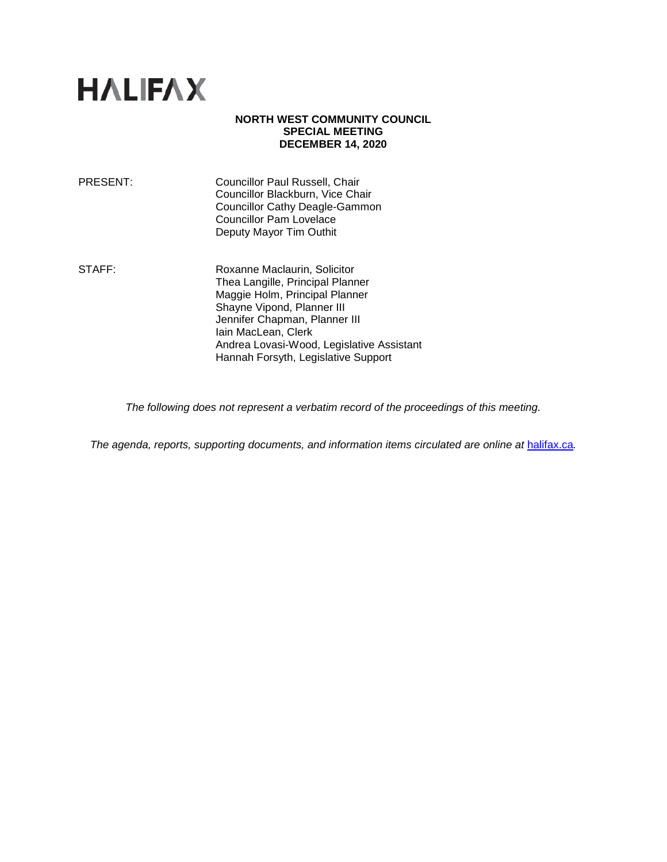# **HALIFAX**

## **NORTH WEST COMMUNITY COUNCIL SPECIAL MEETING DECEMBER 14, 2020**

| PRESENT: | Councillor Paul Russell, Chair        |
|----------|---------------------------------------|
|          | Councillor Blackburn, Vice Chair      |
|          | <b>Councillor Cathy Deagle-Gammon</b> |
|          | <b>Councillor Pam Lovelace</b>        |
|          | Deputy Mayor Tim Outhit               |
|          |                                       |

STAFF: Roxanne Maclaurin, Solicitor Thea Langille, Principal Planner Maggie Holm, Principal Planner Shayne Vipond, Planner III Jennifer Chapman, Planner III Iain MacLean, Clerk Andrea Lovasi-Wood, Legislative Assistant Hannah Forsyth, Legislative Support

*The following does not represent a verbatim record of the proceedings of this meeting.*

*The agenda, reports, supporting documents, and information items circulated are online at [halifax.ca](http://www.halifax.ca/).*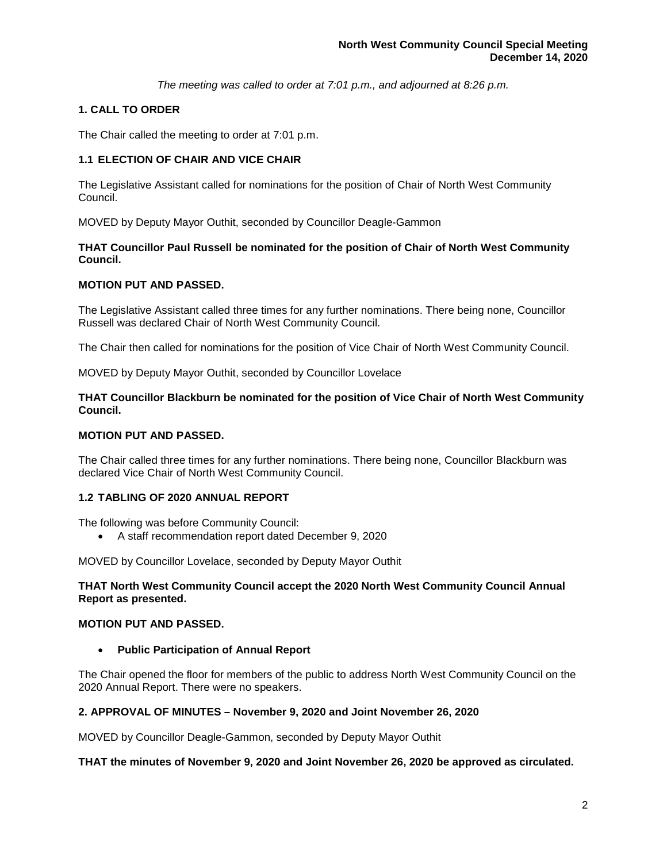*The meeting was called to order at 7:01 p.m., and adjourned at 8:26 p.m.*

## **1. CALL TO ORDER**

The Chair called the meeting to order at 7:01 p.m.

## **1.1 ELECTION OF CHAIR AND VICE CHAIR**

The Legislative Assistant called for nominations for the position of Chair of North West Community Council.

MOVED by Deputy Mayor Outhit, seconded by Councillor Deagle-Gammon

## **THAT Councillor Paul Russell be nominated for the position of Chair of North West Community Council.**

## **MOTION PUT AND PASSED.**

The Legislative Assistant called three times for any further nominations. There being none, Councillor Russell was declared Chair of North West Community Council.

The Chair then called for nominations for the position of Vice Chair of North West Community Council.

MOVED by Deputy Mayor Outhit, seconded by Councillor Lovelace

## **THAT Councillor Blackburn be nominated for the position of Vice Chair of North West Community Council.**

## **MOTION PUT AND PASSED.**

The Chair called three times for any further nominations. There being none, Councillor Blackburn was declared Vice Chair of North West Community Council.

## **1.2 TABLING OF 2020 ANNUAL REPORT**

The following was before Community Council:

• A staff recommendation report dated December 9, 2020

MOVED by Councillor Lovelace, seconded by Deputy Mayor Outhit

## **THAT North West Community Council accept the 2020 North West Community Council Annual Report as presented.**

## **MOTION PUT AND PASSED.**

• **Public Participation of Annual Report** 

The Chair opened the floor for members of the public to address North West Community Council on the 2020 Annual Report. There were no speakers.

## **2. APPROVAL OF MINUTES – November 9, 2020 and Joint November 26, 2020**

MOVED by Councillor Deagle-Gammon, seconded by Deputy Mayor Outhit

**THAT the minutes of November 9, 2020 and Joint November 26, 2020 be approved as circulated.**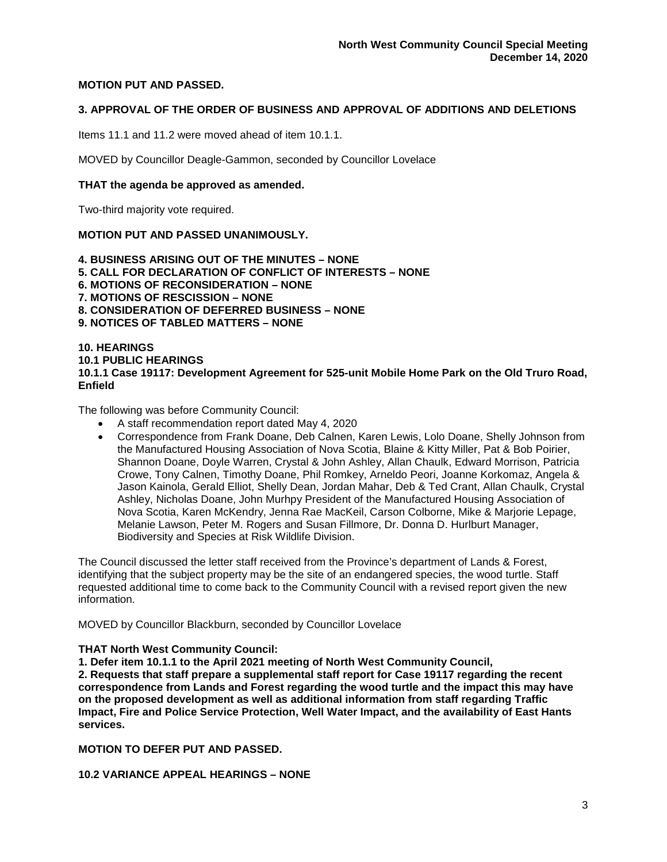## **MOTION PUT AND PASSED.**

## **3. APPROVAL OF THE ORDER OF BUSINESS AND APPROVAL OF ADDITIONS AND DELETIONS**

Items 11.1 and 11.2 were moved ahead of item 10.1.1.

MOVED by Councillor Deagle-Gammon, seconded by Councillor Lovelace

#### **THAT the agenda be approved as amended.**

Two-third majority vote required.

#### **MOTION PUT AND PASSED UNANIMOUSLY.**

**4. BUSINESS ARISING OUT OF THE MINUTES – NONE 5. CALL FOR DECLARATION OF CONFLICT OF INTERESTS – NONE 6. MOTIONS OF RECONSIDERATION – NONE 7. MOTIONS OF RESCISSION – NONE 8. CONSIDERATION OF DEFERRED BUSINESS – NONE 9. NOTICES OF TABLED MATTERS – NONE**

#### **10. HEARINGS 10.1 PUBLIC HEARINGS 10.1.1 Case 19117: Development Agreement for 525-unit Mobile Home Park on the Old Truro Road, Enfield**

The following was before Community Council:

- A staff recommendation report dated May 4, 2020
- Correspondence from Frank Doane, Deb Calnen, Karen Lewis, Lolo Doane, Shelly Johnson from the Manufactured Housing Association of Nova Scotia, Blaine & Kitty Miller, Pat & Bob Poirier, Shannon Doane, Doyle Warren, Crystal & John Ashley, Allan Chaulk, Edward Morrison, Patricia Crowe, Tony Calnen, Timothy Doane, Phil Romkey, Arneldo Peori, Joanne Korkomaz, Angela & Jason Kainola, Gerald Elliot, Shelly Dean, Jordan Mahar, Deb & Ted Crant, Allan Chaulk, Crystal Ashley, Nicholas Doane, John Murhpy President of the Manufactured Housing Association of Nova Scotia, Karen McKendry, Jenna Rae MacKeil, Carson Colborne, Mike & Marjorie Lepage, Melanie Lawson, Peter M. Rogers and Susan Fillmore, Dr. Donna D. Hurlburt Manager, Biodiversity and Species at Risk Wildlife Division.

The Council discussed the letter staff received from the Province's department of Lands & Forest, identifying that the subject property may be the site of an endangered species, the wood turtle. Staff requested additional time to come back to the Community Council with a revised report given the new information.

MOVED by Councillor Blackburn, seconded by Councillor Lovelace

## **THAT North West Community Council:**

**1. Defer item 10.1.1 to the April 2021 meeting of North West Community Council,**

**2. Requests that staff prepare a supplemental staff report for Case 19117 regarding the recent correspondence from Lands and Forest regarding the wood turtle and the impact this may have on the proposed development as well as additional information from staff regarding Traffic Impact, Fire and Police Service Protection, Well Water Impact, and the availability of East Hants services.**

**MOTION TO DEFER PUT AND PASSED.**

**10.2 VARIANCE APPEAL HEARINGS – NONE**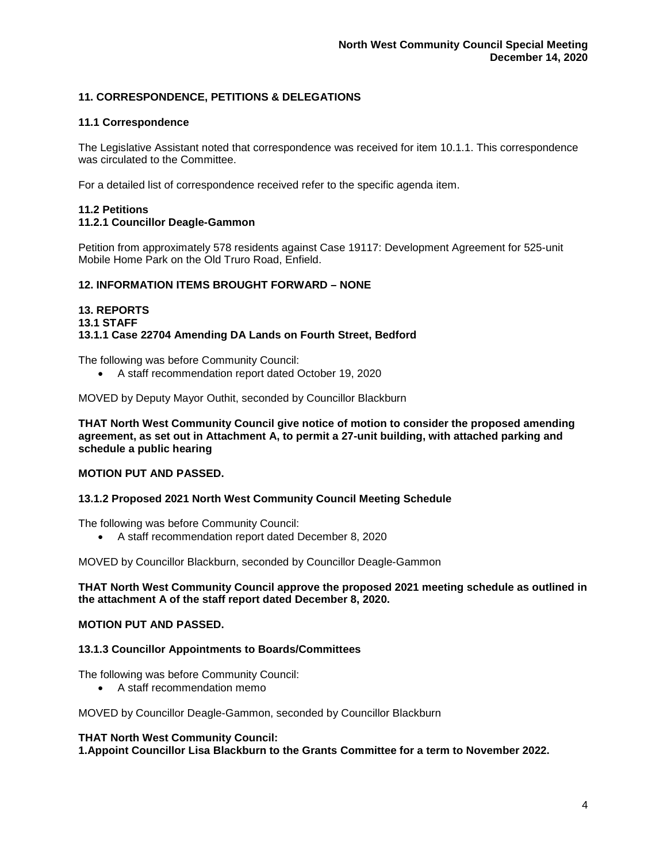## **11. CORRESPONDENCE, PETITIONS & DELEGATIONS**

## **11.1 Correspondence**

The Legislative Assistant noted that correspondence was received for item 10.1.1. This correspondence was circulated to the Committee.

For a detailed list of correspondence received refer to the specific agenda item.

#### **11.2 Petitions 11.2.1 Councillor Deagle-Gammon**

Petition from approximately 578 residents against Case 19117: Development Agreement for 525-unit Mobile Home Park on the Old Truro Road, Enfield.

## **12. INFORMATION ITEMS BROUGHT FORWARD – NONE**

**13. REPORTS 13.1 STAFF 13.1.1 Case 22704 Amending DA Lands on Fourth Street, Bedford**

The following was before Community Council:

• A staff recommendation report dated October 19, 2020

MOVED by Deputy Mayor Outhit, seconded by Councillor Blackburn

**THAT North West Community Council give notice of motion to consider the proposed amending agreement, as set out in Attachment A, to permit a 27-unit building, with attached parking and schedule a public hearing**

## **MOTION PUT AND PASSED.**

## **13.1.2 Proposed 2021 North West Community Council Meeting Schedule**

The following was before Community Council:

• A staff recommendation report dated December 8, 2020

MOVED by Councillor Blackburn, seconded by Councillor Deagle-Gammon

## **THAT North West Community Council approve the proposed 2021 meeting schedule as outlined in the attachment A of the staff report dated December 8, 2020.**

## **MOTION PUT AND PASSED.**

## **13.1.3 Councillor Appointments to Boards/Committees**

The following was before Community Council:

• A staff recommendation memo

MOVED by Councillor Deagle-Gammon, seconded by Councillor Blackburn

#### **THAT North West Community Council:**

**1.Appoint Councillor Lisa Blackburn to the Grants Committee for a term to November 2022.**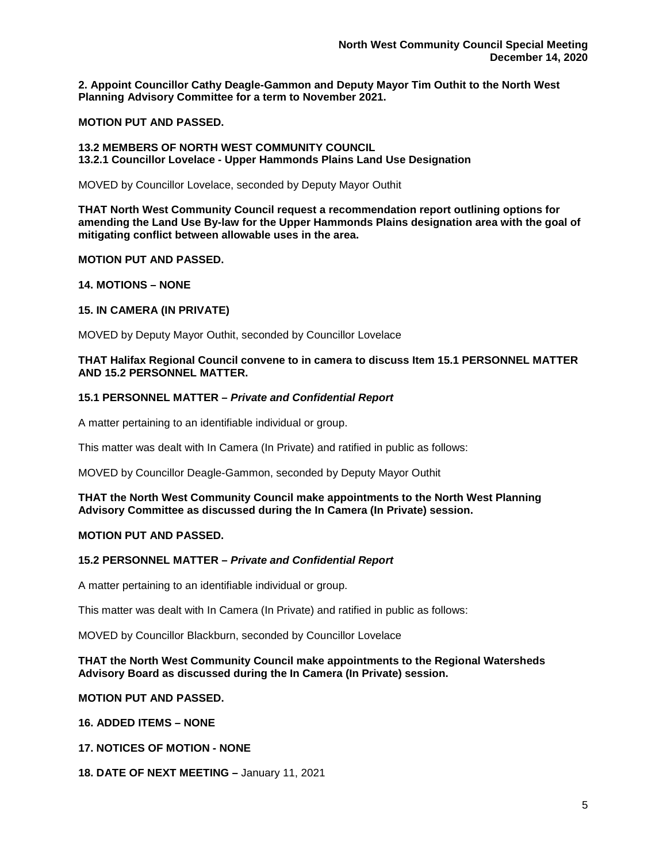**2. Appoint Councillor Cathy Deagle-Gammon and Deputy Mayor Tim Outhit to the North West Planning Advisory Committee for a term to November 2021.**

## **MOTION PUT AND PASSED.**

#### **13.2 MEMBERS OF NORTH WEST COMMUNITY COUNCIL 13.2.1 Councillor Lovelace - Upper Hammonds Plains Land Use Designation**

MOVED by Councillor Lovelace, seconded by Deputy Mayor Outhit

**THAT North West Community Council request a recommendation report outlining options for amending the Land Use By-law for the Upper Hammonds Plains designation area with the goal of mitigating conflict between allowable uses in the area.**

## **MOTION PUT AND PASSED.**

## **14. MOTIONS – NONE**

## **15. IN CAMERA (IN PRIVATE)**

MOVED by Deputy Mayor Outhit, seconded by Councillor Lovelace

## **THAT Halifax Regional Council convene to in camera to discuss Item 15.1 PERSONNEL MATTER AND 15.2 PERSONNEL MATTER.**

## **15.1 PERSONNEL MATTER –** *Private and Confidential Report*

A matter pertaining to an identifiable individual or group.

This matter was dealt with In Camera (In Private) and ratified in public as follows:

MOVED by Councillor Deagle-Gammon, seconded by Deputy Mayor Outhit

## **THAT the North West Community Council make appointments to the North West Planning Advisory Committee as discussed during the In Camera (In Private) session.**

## **MOTION PUT AND PASSED.**

## **15.2 PERSONNEL MATTER –** *Private and Confidential Report*

A matter pertaining to an identifiable individual or group.

This matter was dealt with In Camera (In Private) and ratified in public as follows:

MOVED by Councillor Blackburn, seconded by Councillor Lovelace

## **THAT the North West Community Council make appointments to the Regional Watersheds Advisory Board as discussed during the In Camera (In Private) session.**

**MOTION PUT AND PASSED.** 

**16. ADDED ITEMS – NONE**

**17. NOTICES OF MOTION - NONE**

**18. DATE OF NEXT MEETING –** January 11, 2021